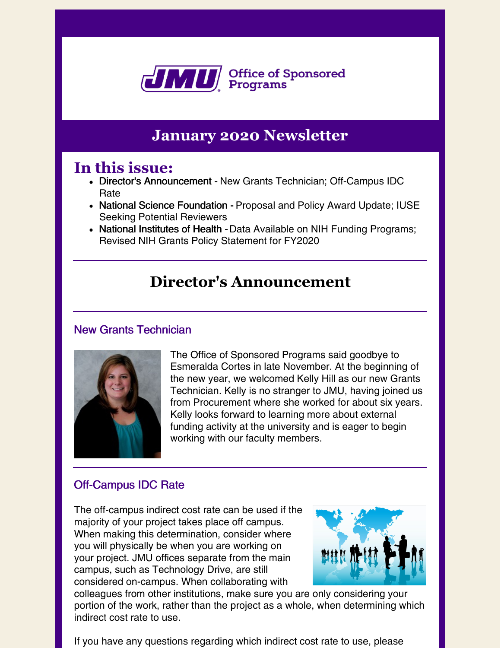

### **January 2020 Newsletter**

### **In this issue:**

- Director's Announcement New Grants Technician; Off-Campus IDC Rate
- National Science Foundation Proposal and Policy Award Update; IUSE Seeking Potential Reviewers
- National Institutes of Health Data Available on NIH Funding Programs; Revised NIH Grants Policy Statement for FY2020

### **Director's Announcement**

### New Grants Technician



The Office of Sponsored Programs said goodbye to Esmeralda Cortes in late November. At the beginning of the new year, we welcomed Kelly Hill as our new Grants Technician. Kelly is no stranger to JMU, having joined us from Procurement where she worked for about six years. Kelly looks forward to learning more about external funding activity at the university and is eager to begin working with our faculty members.

### Off-Campus IDC Rate

The off-campus indirect cost rate can be used if the majority of your project takes place off campus. When making this determination, consider where you will physically be when you are working on your project. JMU offices separate from the main campus, such as Technology Drive, are still considered on-campus. When collaborating with



colleagues from other institutions, make sure you are only considering your portion of the work, rather than the project as a whole, when determining which indirect cost rate to use.

If you have any questions regarding which indirect cost rate to use, please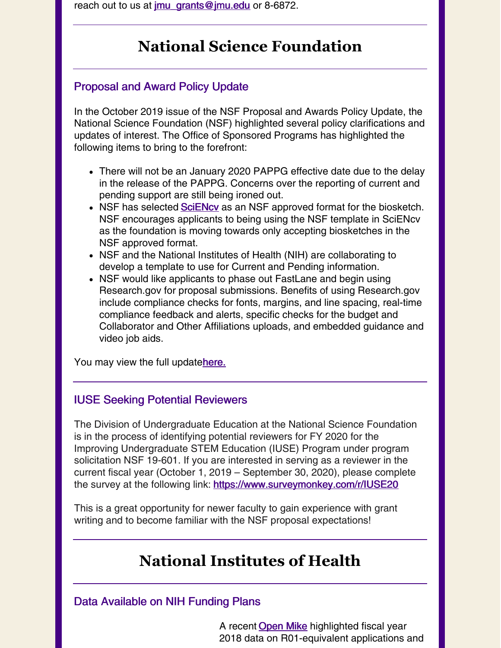reach out to us at  $\text{imu}$  grants @ $\text{imu}$  edu or 8-6872.

### **National Science Foundation**

#### Proposal and Award Policy Update

In the October 2019 issue of the NSF Proposal and Awards Policy Update, the National Science Foundation (NSF) highlighted several policy clarifications and updates of interest. The Office of Sponsored Programs has highlighted the following items to bring to the forefront:

- There will not be an January 2020 PAPPG effective date due to the delay in the release of the PAPPG. Concerns over the reporting of current and pending support are still being ironed out.
- NSF has selected **[SciENcv](https://www.ncbi.nlm.nih.gov/sciencv/)** as an NSF approved format for the biosketch. NSF encourages applicants to being using the NSF template in SciENcv as the foundation is moving towards only accepting biosketches in the NSF approved format.
- NSF and the National Institutes of Health (NIH) are collaborating to develop a template to use for Current and Pending information.
- NSF would like applicants to phase out FastLane and begin using Research.gov for proposal submissions. Benefits of using Research.gov include compliance checks for fonts, margins, and line spacing, real-time compliance feedback and alerts, specific checks for the budget and Collaborator and Other Affiliations uploads, and embedded guidance and video job aids.

You may view the full update[here.](https://www.nsf.gov/bfa/dias/policy/outreach/nsfupdate_fall19.pdf)

#### IUSE Seeking Potential Reviewers

The Division of Undergraduate Education at the National Science Foundation is in the process of identifying potential reviewers for FY 2020 for the Improving Undergraduate STEM Education (IUSE) Program under program solicitation NSF 19-601. If you are interested in serving as a reviewer in the current fiscal year (October 1, 2019 – September 30, 2020), please complete the survey at the following link: <https://www.surveymonkey.com/r/IUSE20>

This is a great opportunity for newer faculty to gain experience with grant writing and to become familiar with the NSF proposal expectations!

# **National Institutes of Health**

#### Data Available on NIH Funding Plans

A recent **[Open](https://nexus.od.nih.gov/all/2019/12/23/data-are-available-on-nih-funding-plans/) Mike** highlighted fiscal year 2018 data on R01-equivalent applications and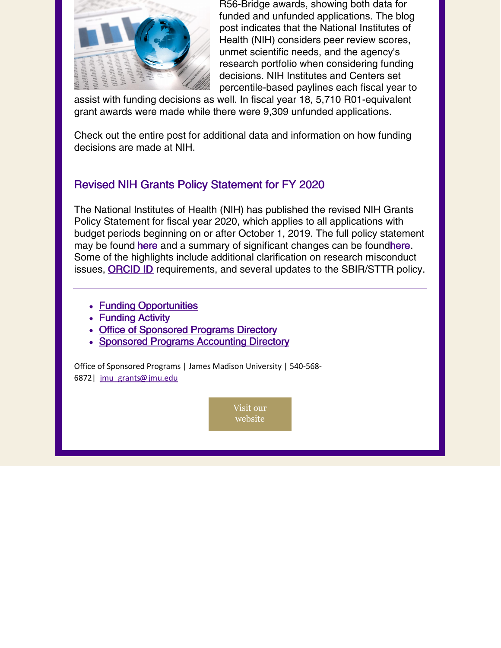

R56-Bridge awards, showing both data for funded and unfunded applications. The blog post indicates that the National Institutes of Health (NIH) considers peer review scores, unmet scientific needs, and the agency's research portfolio when considering funding decisions. NIH Institutes and Centers set percentile-based paylines each fiscal year to

assist with funding decisions as well. In fiscal year 18, 5,710 R01-equivalent grant awards were made while there were 9,309 unfunded applications.

Check out the entire post for additional data and information on how funding decisions are made at NIH.

### Revised NIH Grants Policy Statement for FY 2020

The National Institutes of Health (NIH) has published the revised NIH Grants Policy Statement for fiscal year 2020, which applies to all applications with budget periods beginning on or after October 1, 2019. The full policy statement may be found [here](https://grants.nih.gov/grants/policy/nihgps/HTML5/introduction.htm) and a summary of significant changes can be found here. Some of the highlights include additional clarification on research misconduct issues, **[ORCID](https://orcid.org/) ID** requirements, and several updates to the SBIR/STTR policy.

- **Funding [Opportunities](https://www.jmu.edu/sponsoredprograms/funding-opportunities/search/index.shtml)**
- **[Funding](https://www.jmu.edu/sponsoredprograms/newsletters-and-reports/index.shtml) Activity**
- Office of [Sponsored](https://www.jmu.edu/sponsoredprograms/contact-us.shtml) Programs Directory
- Sponsored Programs [Accounting](http://www.jmu.edu/sponsoredprogramsaccounting/staff/index.shtml) Directory

Office of Sponsored Programs | James Madison University | 540-568- 6872| [jmu\\_grants@jmu.edu](mailto:jmu_grants@jmu.edu)

> Visit our [website](https://www.jmu.edu/sponsoredprograms/index.shtml)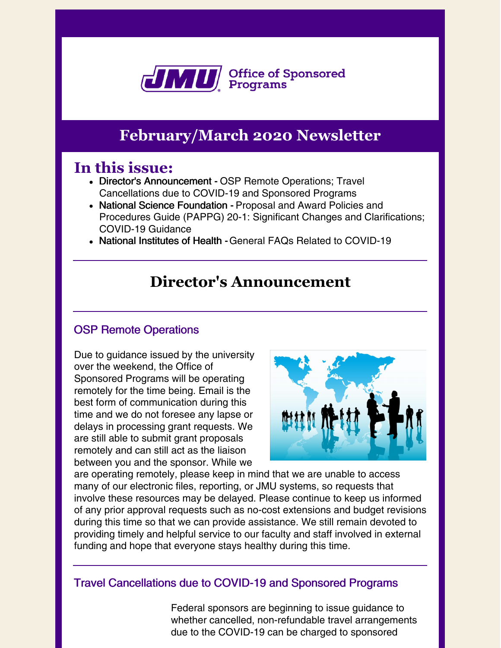

## **February/March 2020 Newsletter**

### **In this issue:**

- Director's Announcement OSP Remote Operations; Travel Cancellations due to COVID-19 and Sponsored Programs
- National Science Foundation Proposal and Award Policies and Procedures Guide (PAPPG) 20-1: Significant Changes and Clarifications; COVID-19 Guidance
- National Institutes of Health -General FAQs Related to COVID-19

### **Director's Announcement**

### OSP Remote Operations

Due to guidance issued by the university over the weekend, the Office of Sponsored Programs will be operating remotely for the time being. Email is the best form of communication during this time and we do not foresee any lapse or delays in processing grant requests. We are still able to submit grant proposals remotely and can still act as the liaison between you and the sponsor. While we



are operating remotely, please keep in mind that we are unable to access many of our electronic files, reporting, or JMU systems, so requests that involve these resources may be delayed. Please continue to keep us informed of any prior approval requests such as no-cost extensions and budget revisions during this time so that we can provide assistance. We still remain devoted to providing timely and helpful service to our faculty and staff involved in external funding and hope that everyone stays healthy during this time.

Travel Cancellations due to COVID-19 and Sponsored Programs

Federal sponsors are beginning to issue guidance to whether cancelled, non-refundable travel arrangements due to the COVID-19 can be charged to sponsored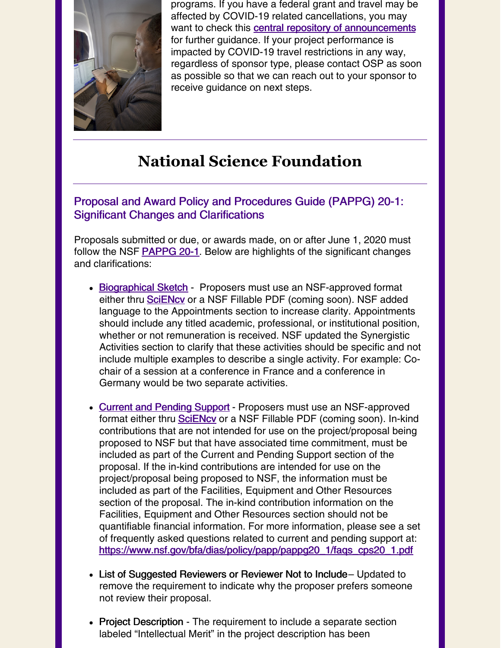

programs. If you have a federal grant and travel may be affected by COVID-19 related cancellations, you may want to check this **central repository of [announcements](https://www.cogr.edu/institutional-and-agency-responses-covid-19-and-additional-resources)** for further guidance. If your project performance is impacted by COVID-19 travel restrictions in any way, regardless of sponsor type, please contact OSP as soon as possible so that we can reach out to your sponsor to receive guidance on next steps.

# **National Science Foundation**

#### Proposal and Award Policy and Procedures Guide (PAPPG) 20-1: Significant Changes and Clarifications

Proposals submitted or due, or awards made, on or after June 1, 2020 must follow the NSF **[PAPPG](https://www.nsf.gov/publications/pub_summ.jsp?ods_key=nsf20001) 20-1**. Below are highlights of the significant changes and clarifications:

- [Biographical](https://www.nsf.gov/bfa/dias/policy/biosketch.jsp) Sketch Proposers must use an NSF-approved format either thru **SciENcy** or a NSF Fillable PDF (coming soon). NSF added language to the Appointments section to increase clarity. Appointments should include any titled academic, professional, or institutional position, whether or not remuneration is received. NSF updated the Synergistic Activities section to clarify that these activities should be specific and not include multiple examples to describe a single activity. For example: Cochair of a session at a conference in France and a conference in Germany would be two separate activities.
- Current and [Pending](https://www.nsf.gov/bfa/dias/policy/cps.jsp) Support Proposers must use an NSF-approved format either thru [SciENcv](https://www.ncbi.nlm.nih.gov/sciencv/) or a NSF Fillable PDF (coming soon). In-kind contributions that are not intended for use on the project/proposal being proposed to NSF but that have associated time commitment, must be included as part of the Current and Pending Support section of the proposal. If the in-kind contributions are intended for use on the project/proposal being proposed to NSF, the information must be included as part of the Facilities, Equipment and Other Resources section of the proposal. The in-kind contribution information on the Facilities, Equipment and Other Resources section should not be quantifiable financial information. For more information, please see a set of frequently asked questions related to current and pending support at: [https://www.nsf.gov/bfa/dias/policy/papp/pappg20\\_1/faqs\\_cps20\\_1.pdf](https://www.nsf.gov/bfa/dias/policy/papp/pappg20_1/faqs_cps20_1.pdf)
- List of Suggested Reviewers or Reviewer Not to Include– Updated to remove the requirement to indicate why the proposer prefers someone not review their proposal.
- Project Description The requirement to include a separate section labeled "Intellectual Merit" in the project description has been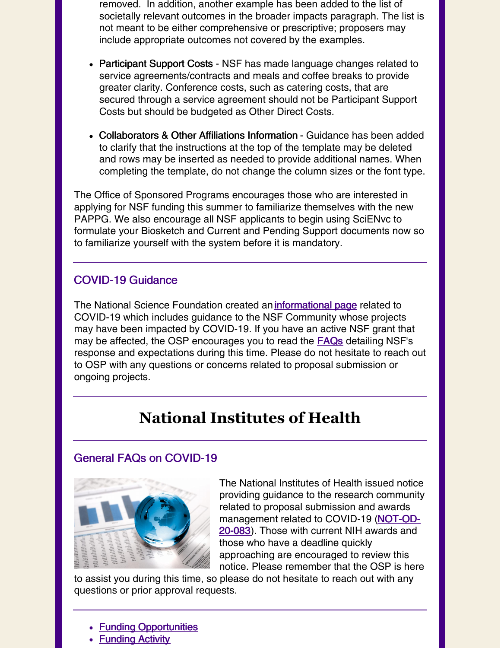removed. In addition, another example has been added to the list of societally relevant outcomes in the broader impacts paragraph. The list is not meant to be either comprehensive or prescriptive; proposers may include appropriate outcomes not covered by the examples.

- Participant Support Costs NSF has made language changes related to service agreements/contracts and meals and coffee breaks to provide greater clarity. Conference costs, such as catering costs, that are secured through a service agreement should not be Participant Support Costs but should be budgeted as Other Direct Costs.
- Collaborators & Other Affiliations Information Guidance has been added to clarify that the instructions at the top of the template may be deleted and rows may be inserted as needed to provide additional names. When completing the template, do not change the column sizes or the font type.

The Office of Sponsored Programs encourages those who are interested in applying for NSF funding this summer to familiarize themselves with the new PAPPG. We also encourage all NSF applicants to begin using SciENvc to formulate your Biosketch and Current and Pending Support documents now so to familiarize yourself with the system before it is mandatory.

### COVID-19 Guidance

The National Science Foundation created an *[informational](https://www.nsf.gov/news/special_reports/coronavirus/) page* related to COVID-19 which includes guidance to the NSF Community whose projects may have been impacted by COVID-19. If you have an active NSF grant that may be affected, the OSP encourages you to read the **[FAQs](https://www.nsf.gov/bfa/dias/policy/covid19/covid19faqs_proposerandawardee.pdf)** detailing NSF's response and expectations during this time. Please do not hesitate to reach out to OSP with any questions or concerns related to proposal submission or ongoing projects.

# **National Institutes of Health**

#### General FAQs on COVID-19



The National Institutes of Health issued notice providing guidance to the research community related to proposal submission and awards [management](https://grants.nih.gov/grants/guide/notice-files/NOT-OD-20-083.html) related to COVID-19 (NOT-OD-20-083). Those with current NIH awards and those who have a deadline quickly approaching are encouraged to review this notice. Please remember that the OSP is here

to assist you during this time, so please do not hesitate to reach out with any questions or prior approval requests.

- **Funding [Opportunities](https://www.jmu.edu/sponsoredprograms/funding-opportunities/index.shtml)**
- **[Funding](https://www.jmu.edu/sponsoredprograms/newsletters-and-reports/index.shtml) Activity**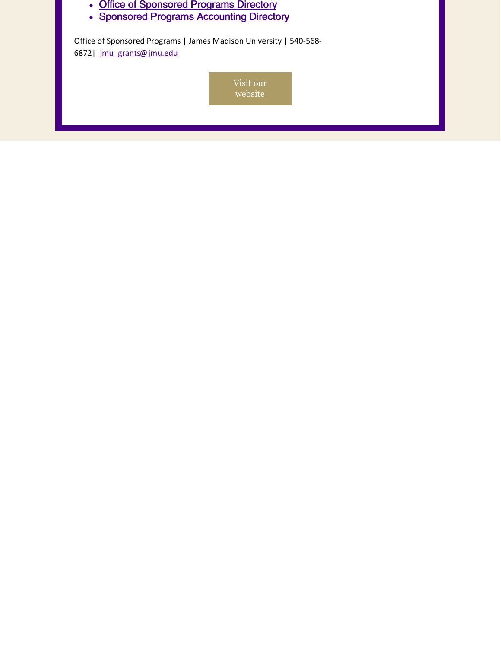| Office of Sponsored Programs   James Madison University   540-568-<br>6872   jmu grants@jmu.edu | • Office of Sponsored Programs Directory<br>• Sponsored Programs Accounting Directory |  |  |  |
|-------------------------------------------------------------------------------------------------|---------------------------------------------------------------------------------------|--|--|--|
|                                                                                                 |                                                                                       |  |  |  |
| Visit our<br>website                                                                            |                                                                                       |  |  |  |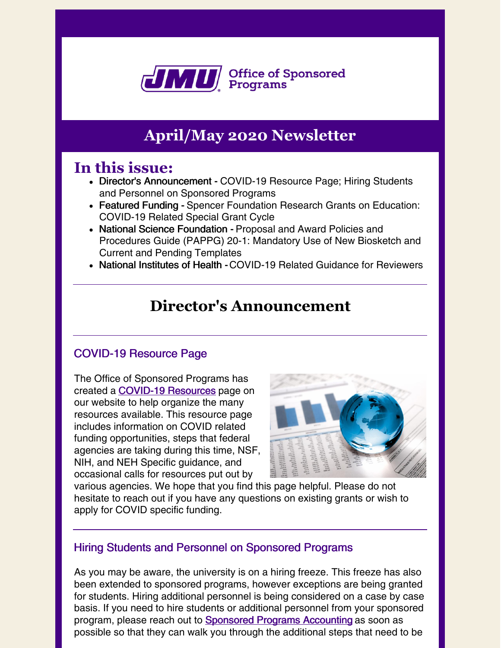

# **April/May 2020 Newsletter**

### **In this issue:**

- Director's Announcement COVID-19 Resource Page; Hiring Students and Personnel on Sponsored Programs
- Featured Funding Spencer Foundation Research Grants on Education: COVID-19 Related Special Grant Cycle
- National Science Foundation Proposal and Award Policies and Procedures Guide (PAPPG) 20-1: Mandatory Use of New Biosketch and Current and Pending Templates
- National Institutes of Health COVID-19 Related Guidance for Reviewers

### **Director's Announcement**

### COVID-19 Resource Page

The Office of Sponsored Programs has created a **COVID-19 [Resources](https://www.jmu.edu/sponsoredprograms/funding-opportunities/COVID-19_Resources.shtml)** page on our website to help organize the many resources available. This resource page includes information on COVID related funding opportunities, steps that federal agencies are taking during this time, NSF, NIH, and NEH Specific guidance, and occasional calls for resources put out by



various agencies. We hope that you find this page helpful. Please do not hesitate to reach out if you have any questions on existing grants or wish to apply for COVID specific funding.

#### Hiring Students and Personnel on Sponsored Programs

As you may be aware, the university is on a hiring freeze. This freeze has also been extended to sponsored programs, however exceptions are being granted for students. Hiring additional personnel is being considered on a case by case basis. If you need to hire students or additional personnel from your sponsored program, please reach out to **[Sponsored](https://www.jmu.edu/sponsoredprogramsaccounting/index.shtml) Programs Accounting** as soon as possible so that they can walk you through the additional steps that need to be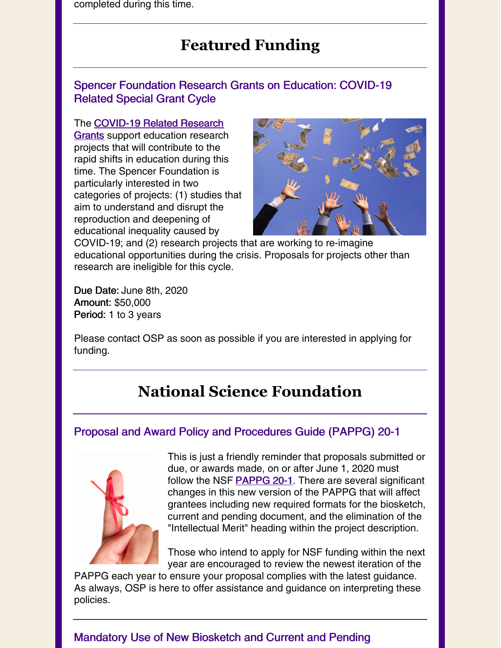completed during this time.

## **Featured Funding**

### Spencer Foundation Research Grants on Education: COVID-19 Related Special Grant Cycle

The [COVID-19](https://www.spencer.org/grant_types/research-grants-on-education-covid-19-related-special-grant-cycle) Related Research Grants support education research projects that will contribute to the rapid shifts in education during this time. The Spencer Foundation is particularly interested in two categories of projects: (1) studies that aim to understand and disrupt the reproduction and deepening of educational inequality caused by



COVID-19; and (2) research projects that are working to re-imagine educational opportunities during the crisis. Proposals for projects other than research are ineligible for this cycle.

Due Date: June 8th, 2020 Amount: \$50,000 Period: 1 to 3 years

Please contact OSP as soon as possible if you are interested in applying for funding.

# **National Science Foundation**

### Proposal and Award Policy and Procedures Guide (PAPPG) 20-1



This is just a friendly reminder that proposals submitted or due, or awards made, on or after June 1, 2020 must follow the NSF [PAPPG](https://www.nsf.gov/publications/pub_summ.jsp?ods_key=nsf20001) 20-1. There are several significant changes in this new version of the PAPPG that will affect grantees including new required formats for the biosketch, current and pending document, and the elimination of the "Intellectual Merit" heading within the project description.

Those who intend to apply for NSF funding within the next year are encouraged to review the newest iteration of the

PAPPG each year to ensure your proposal complies with the latest guidance. As always, OSP is here to offer assistance and guidance on interpreting these policies.

### Mandatory Use of New Biosketch and Current and Pending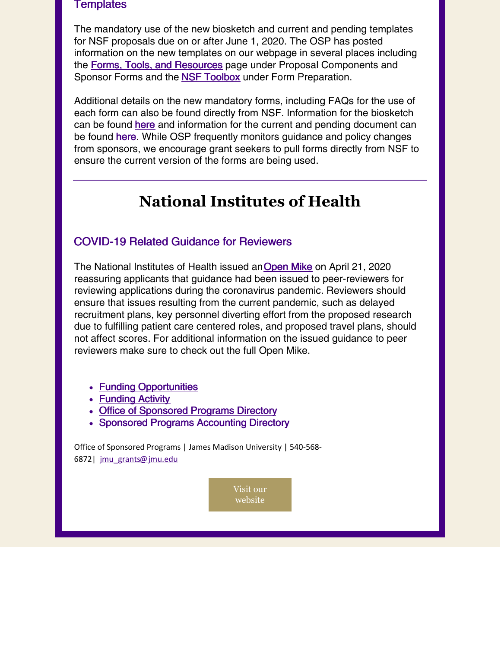#### **Templates**

The mandatory use of the new biosketch and current and pending templates for NSF proposals due on or after June 1, 2020. The OSP has posted information on the new templates on our webpage in several places including the Forms, Tools, and [Resources](https://www.jmu.edu/sponsoredprograms/forms-tools-resources/index.shtml) page under Proposal Components and Sponsor Forms and the **NSF [Toolbox](https://www.jmu.edu/sponsoredprograms/forms-tools-resources/nsf-toolbox.shtml#formpreparation)** under Form Preparation.

Additional details on the new mandatory forms, including FAQs for the use of each form can also be found directly from NSF. Information for the biosketch can be found [here](https://www.nsf.gov/bfa/dias/policy/biosketch.jsp) and information for the current and pending document can be found [here](https://www.nsf.gov/bfa/dias/policy/cps.jsp). While OSP frequently monitors guidance and policy changes from sponsors, we encourage grant seekers to pull forms directly from NSF to ensure the current version of the forms are being used.

# **National Institutes of Health**

#### COVID-19 Related Guidance for Reviewers

The National Institutes of Health issued an[Open](https://nexus.od.nih.gov/all/2020/04/21/temporary-emergency-situations-due-to-covid-19-and-application-scores-received-during-peer-review/) Mike on April 21, 2020 reassuring applicants that guidance had been issued to peer-reviewers for reviewing applications during the coronavirus pandemic. Reviewers should ensure that issues resulting from the current pandemic, such as delayed recruitment plans, key personnel diverting effort from the proposed research due to fulfilling patient care centered roles, and proposed travel plans, should not affect scores. For additional information on the issued guidance to peer reviewers make sure to check out the full Open Mike.

- Funding [Opportunities](https://www.jmu.edu/sponsoredprograms/funding-opportunities/index.shtml)
- **[Funding](https://www.jmu.edu/sponsoredprograms/newsletters-and-reports/index.shtml) Activity**
- Office of [Sponsored](https://www.jmu.edu/sponsoredprograms/contact-us.shtml) Programs Directory
- Sponsored Programs [Accounting](http://www.jmu.edu/sponsoredprogramsaccounting/staff/index.shtml) Directory

Office of Sponsored Programs | James Madison University | 540-568- 6872| [jmu\\_grants@jmu.edu](mailto:jmu_grants@jmu.edu)

> Visit our [website](https://www.jmu.edu/sponsoredprograms/index.shtml)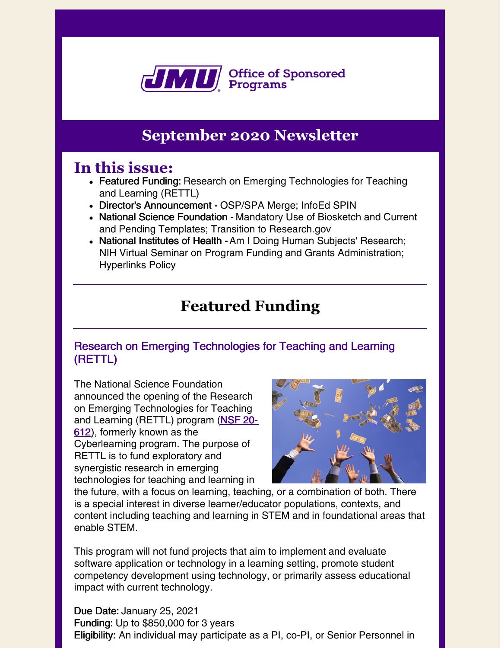

## **September 2020 Newsletter**

### **In this issue:**

- Featured Funding: Research on Emerging Technologies for Teaching and Learning (RETTL)
- Director's Announcement OSP/SPA Merge; InfoEd SPIN
- National Science Foundation Mandatory Use of Biosketch and Current and Pending Templates; Transition to Research.gov
- National Institutes of Health Am I Doing Human Subjects' Research; NIH Virtual Seminar on Program Funding and Grants Administration; Hyperlinks Policy

# **Featured Funding**

### Research on Emerging Technologies for Teaching and Learning (RETTL)

The National Science Foundation announced the opening of the Research on Emerging Technologies for Teaching and [Learning](https://www.nsf.gov/pubs/2020/nsf20612/nsf20612.htm) (RETTL) program (NSF 20-612), formerly known as the Cyberlearning program. The purpose of RETTL is to fund exploratory and synergistic research in emerging technologies for teaching and learning in



the future, with a focus on learning, teaching, or a combination of both. There is a special interest in diverse learner/educator populations, contexts, and content including teaching and learning in STEM and in foundational areas that enable STEM.

This program will not fund projects that aim to implement and evaluate software application or technology in a learning setting, promote student competency development using technology, or primarily assess educational impact with current technology.

Due Date: January 25, 2021 Funding: Up to \$850,000 for 3 years Eligibility: An individual may participate as a PI, co-PI, or Senior Personnel in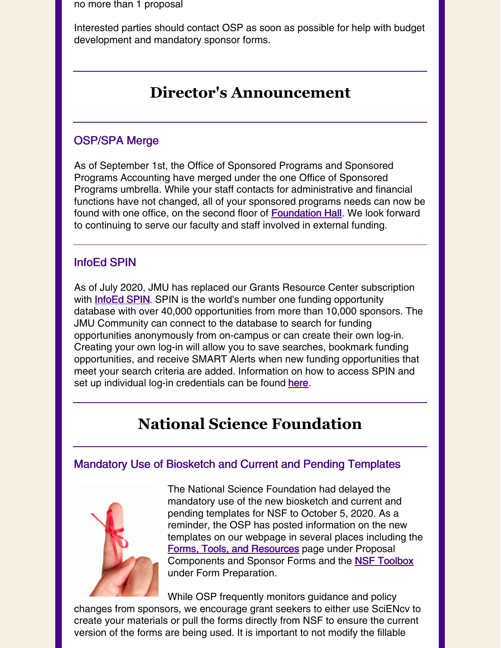no more than 1 proposal

Interested parties should contact OSP as soon as possible for help with budget development and mandatory sponsor forms.

### **Director's Announcement**

### OSP/SPA Merge

As of September 1st, the Office of Sponsored Programs and Sponsored Programs Accounting have merged under the one Office of Sponsored Programs umbrella. While your staff contacts for administrative and financial functions have not changed, all of your sponsored programs needs can now be found with one office, on the second floor of **[Foundation](https://www.jmu.edu/directory/buildings/FOUN.shtml) Hall**. We look forward to continuing to serve our faculty and staff involved in external funding.

### InfoEd SPIN

As of July 2020, JMU has replaced our Grants Resource Center subscription with **[InfoEd](https://spin.infoedglobal.com/Authorize/Login) SPIN**. SPIN is the world's number one funding opportunity database with over 40,000 opportunities from more than 10,000 sponsors. The JMU Community can connect to the database to search for funding opportunities anonymously from on-campus or can create their own log-in. Creating your own log-in will allow you to save searches, bookmark funding opportunities, and receive SMART Alerts when new funding opportunities that meet your search criteria are added. Information on how to access SPIN and set up individual log-in credentials can be found [here](https://www.jmu.edu/sponsoredprograms/funding-opportunities/InfoEd-SPIN.shtml).

### **National Science Foundation**

#### Mandatory Use of Biosketch and Current and Pending Templates



The National Science Foundation had delayed the mandatory use of the new biosketch and current and pending templates for NSF to October 5, 2020. As a reminder, the OSP has posted information on the new templates on our webpage in several places including the Forms, Tools, and [Resources](https://www.jmu.edu/sponsoredprograms/forms-tools-resources/index.shtml) page under Proposal Components and Sponsor Forms and the NSF [Toolbox](https://www.jmu.edu/sponsoredprograms/forms-tools-resources/nsf-toolbox.shtml#formpreparation) under Form Preparation.

While OSP frequently monitors guidance and policy changes from sponsors, we encourage grant seekers to either use SciENcv to create your materials or pull the forms directly from NSF to ensure the current version of the forms are being used. It is important to not modify the fillable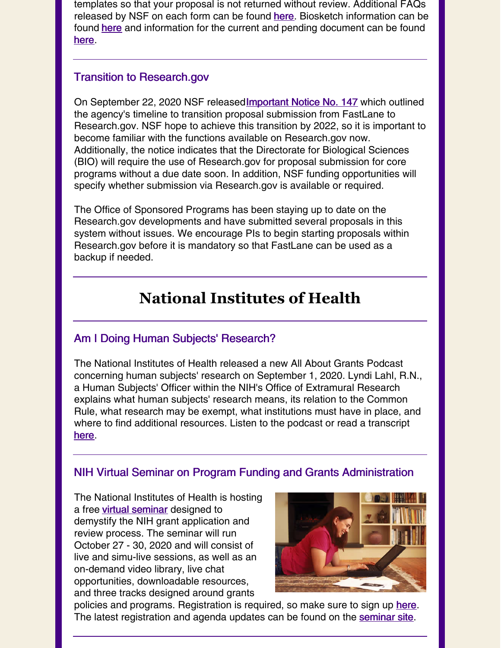templates so that your proposal is not returned without review. Additional FAQs released by NSF on each form can be found [here](https://www.research.gov/common/attachment/Desktop/NSFPDF-FAQs.pdf). Biosketch information can be found [here](https://www.nsf.gov/bfa/dias/policy/biosketch.jsp) and information for the current and pending document can be found [here](https://www.nsf.gov/bfa/dias/policy/cps.jsp).

### Transition to Research.gov

On September 22, 2020 NSF released **Important Notice No. 147** which outlined the agency's timeline to transition proposal submission from FastLane to Research.gov. NSF hope to achieve this transition by 2022, so it is important to become familiar with the functions available on Research.gov now. Additionally, the notice indicates that the Directorate for Biological Sciences (BIO) will require the use of Research.gov for proposal submission for core programs without a due date soon. In addition, NSF funding opportunities will specify whether submission via Research.gov is available or required.

The Office of Sponsored Programs has been staying up to date on the Research.gov developments and have submitted several proposals in this system without issues. We encourage PIs to begin starting proposals within Research.gov before it is mandatory so that FastLane can be used as a backup if needed.

# **National Institutes of Health**

### Am I Doing Human Subjects' Research?

The National Institutes of Health released a new All About Grants Podcast concerning human subjects' research on September 1, 2020. Lyndi Lahl, R.N., a Human Subjects' Officer within the NIH's Office of Extramural Research explains what human subjects' research means, its relation to the Common Rule, what research may be exempt, what institutions must have in place, and where to find additional resources. Listen to the podcast or read a transcript [here](https://nexus.od.nih.gov/all/2020/09/01/new-all-about-grants-podcast-am-i-doing-human-subjects-research/).

### NIH Virtual Seminar on Program Funding and Grants Administration

The National Institutes of Health is hosting a free virtual [seminar](https://nexus.od.nih.gov/all/2020/09/08/free-registration-for-the-fall-2020-nih-virtual-seminar-on-program-funding-and-grants-administration/) designed to demystify the NIH grant application and review process. The seminar will run October 27 - 30, 2020 and will consist of live and simu-live sessions, as well as an on-demand video library, live chat opportunities, downloadable resources, and three tracks designed around grants



policies and programs. Registration is required, so make sure to sign up [here](https://nihvirtualseminar2020.vfairs.com/). The latest registration and agenda updates can be found on the [seminar](https://nihvirtualseminar2020.vfairs.com/) site.